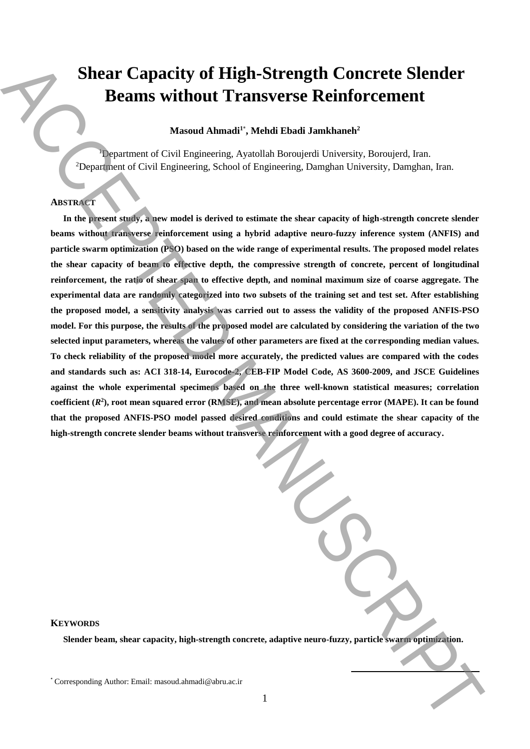# **Shear Capacity of High-Strength Concrete Slender Beams without Transverse Reinforcement**

**Masoud Ahmadi<sup>1</sup>**\* **, Mehdi Ebadi Jamkhaneh<sup>2</sup>**

<sup>1</sup>Department of Civil Engineering, Avatollah Boroujerdi University, Boroujerd, Iran. <sup>2</sup>Department of Civil Engineering, School of Engineering, Damghan University, Damghan, Iran.

## **ABSTRACT**

**In the present study, a new model is derived to estimate the shear capacity of high-strength concrete slender beams without transverse reinforcement using a hybrid adaptive neuro-fuzzy inference system (ANFIS) and particle swarm optimization (PSO) based on the wide range of experimental results. The proposed model relates the shear capacity of beam to effective depth, the compressive strength of concrete, percent of longitudinal reinforcement, the ratio of shear span to effective depth, and nominal maximum size of coarse aggregate. The experimental data are randomly categorized into two subsets of the training set and test set. After establishing the proposed model, a sensitivity analysis was carried out to assess the validity of the proposed ANFIS-PSO model. For this purpose, the results of the proposed model are calculated by considering the variation of the two selected input parameters, whereas the values of other parameters are fixed at the corresponding median values. To check reliability of the proposed model more accurately, the predicted values are compared with the codes and standards such as: ACI 318-14, Eurocode-2, CEB-FIP Model Code, AS 3600-2009, and JSCE Guidelines against the whole experimental specimens based on the three well-known statistical measures; correlation coefficient (***R* **2 ), root mean squared error (RMSE), and mean absolute percentage error (MAPE). It can be found that the proposed ANFIS-PSO model passed desired conditions and could estimate the shear capacity of the high-strength concrete slender beams without transverse reinforcement with a good degree of accuracy.** Sheart Capacity of High-Strength Concrete Slender<br>
Heavil Ahmadi , Medd Earth Jamhamadi<br>
(Expansion of Civil Expansion Administration), the comparison in the star<br>
(Expansion of Civil Expansion Associates the control of t

**KEYWORDS**

**Slender beam, shear capacity, high-strength concrete, adaptive neuro-fuzzy, particle swarm optimization.** 

**.**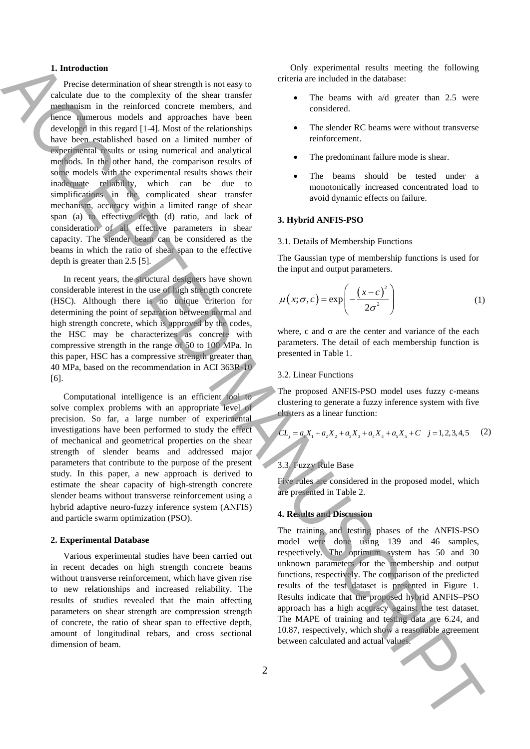#### **1. Introduction**

Precise determination of shear strength is not easy to calculate due to the complexity of the shear transfer mechanism in the reinforced concrete members, and hence numerous models and approaches have been developed in this regard [1-4]. Most of the relationships have been established based on a limited number of experimental results or using numerical and analytical methods. In the other hand, the comparison results of some models with the experimental results shows their inadequate reliability, which can be due to simplifications in the complicated shear transfer mechanism, accuracy within a limited range of shear span (a) to effective depth (d) ratio, and lack of consideration of all effective parameters in shear capacity. The slender beam can be considered as the beams in which the ratio of shear span to the effective depth is greater than 2.5 [5]. **1.** Interdection is determined and actual values of the signature of the signature of the signature of the signature of the signature of the signature of the signature of the signature of the signature of the signature o

In recent years, the structural designers have shown considerable interest in the use of high strength concrete (HSC). Although there is no unique criterion for determining the point of separation between normal and high strength concrete, which is approved by the codes, the HSC may be characterizes as concrete with compressive strength in the range of 50 to 100 MPa. In this paper, HSC has a compressive strength greater than 40 MPa, based on the recommendation in ACI 363R-10 [6].

Computational intelligence is an efficient tool to solve complex problems with an appropriate level of precision. So far, a large number of experimental investigations have been performed to study the effect of mechanical and geometrical properties on the shear strength of slender beams and addressed major parameters that contribute to the purpose of the present study. In this paper, a new approach is derived to estimate the shear capacity of high-strength concrete slender beams without transverse reinforcement using a hybrid adaptive neuro-fuzzy inference system (ANFIS) and particle swarm optimization (PSO).

#### **2. Experimental Database**

Various experimental studies have been carried out in recent decades on high strength concrete beams without transverse reinforcement, which have given rise to new relationships and increased reliability. The results of studies revealed that the main affecting parameters on shear strength are compression strength of concrete, the ratio of shear span to effective depth, amount of longitudinal rebars, and cross sectional dimension of beam.

Only experimental results meeting the following criteria are included in the database:

- The beams with a/d greater than 2.5 were considered.
- The slender RC beams were without transverse reinforcement.
- The predominant failure mode is shear.
- The beams should be tested under a monotonically increased concentrated load to avoid dynamic effects on failure.

#### **3. Hybrid ANFIS-PSO**

#### 3.1. Details of Membership Functions

The Gaussian type of membership functions is used for the input and output parameters.

$$
\mu(x;\sigma,c) = \exp\left(-\frac{(x-c)^2}{2\sigma^2}\right) \tag{1}
$$

where, c and  $\sigma$  are the center and variance of the each parameters. The detail of each membership function is presented in Table 1.

### 3.2. Linear Functions

The proposed ANFIS-PSO model uses fuzzy c-means clustering to generate a fuzzy inference system with five clusters as a linear function:

$$
CL_j = a_1 X_1 + a_2 X_2 + a_3 X_3 + a_4 X_4 + a_5 X_5 + C \quad j = 1, 2, 3, 4, 5 \tag{2}
$$

## 3.3. Fuzzy Rule Base

Five rules are considered in the proposed model, which are presented in Table 2.

## **4. Results and Discussion**

The training and testing phases of the ANFIS-PSO model were done using 139 and 46 samples, respectively. The optimum system has 50 and 30 unknown parameters for the membership and output functions, respectively. The comparison of the predicted results of the test dataset is presented in Figure 1. Results indicate that the proposed hybrid ANFIS–PSO approach has a high accuracy against the test dataset. The MAPE of training and testing data are 6.24, and 10.87, respectively, which show a reasonable agreement